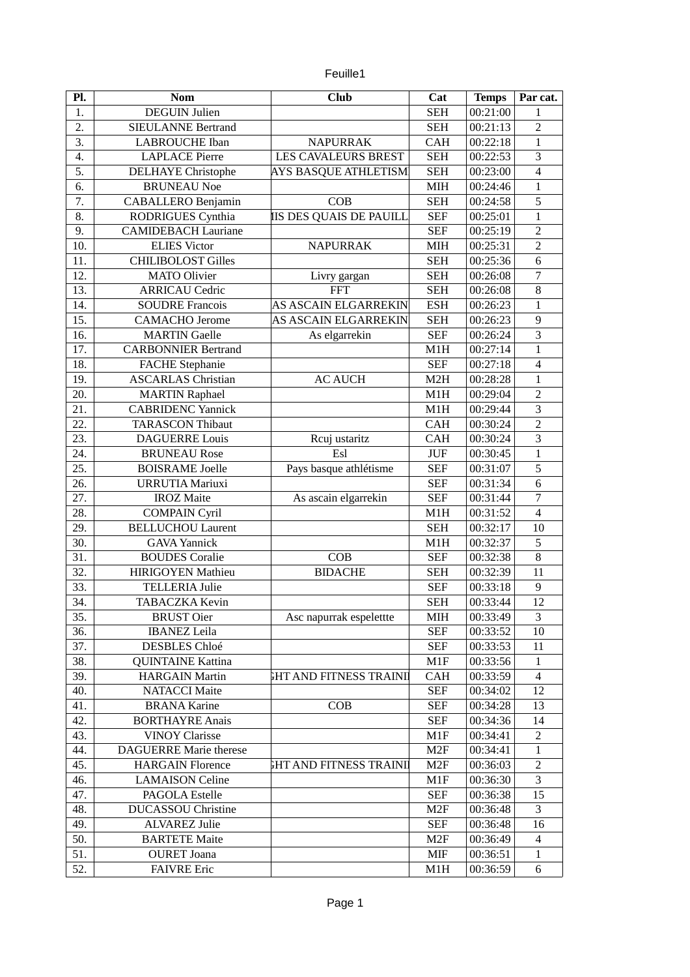| euille1 |  |
|---------|--|
|         |  |

| Pl. | <b>Nom</b>                    | <b>Club</b>                   | Cat             | <b>Temps</b> | Par cat.                |
|-----|-------------------------------|-------------------------------|-----------------|--------------|-------------------------|
| 1.  | <b>DEGUIN Julien</b>          |                               | <b>SEH</b>      | 00:21:00     | $\mathbf{1}$            |
| 2.  | <b>SIEULANNE Bertrand</b>     |                               | <b>SEH</b>      | 00:21:13     | $\overline{2}$          |
| 3.  | <b>LABROUCHE</b> Iban         | <b>NAPURRAK</b>               | <b>CAH</b>      | 00:22:18     | $\mathbf{1}$            |
| 4.  | <b>LAPLACE Pierre</b>         | LES CAVALEURS BREST           | <b>SEH</b>      | 00:22:53     | 3                       |
| 5.  | <b>DELHAYE</b> Christophe     | AYS BASQUE ATHLETISM          | <b>SEH</b>      | 00:23:00     | $\overline{\mathbf{4}}$ |
| 6.  | <b>BRUNEAU Noe</b>            |                               | MIH             | 00:24:46     | $\mathbf{1}$            |
| 7.  | CABALLERO Benjamin            | COB                           | <b>SEH</b>      | 00:24:58     | 5                       |
| 8.  | RODRIGUES Cynthia             | IS DES QUAIS DE PAUILL        | <b>SEF</b>      | 00:25:01     | $\mathbf{1}$            |
| 9.  | <b>CAMIDEBACH Lauriane</b>    |                               | <b>SEF</b>      | 00:25:19     | $\overline{2}$          |
| 10. | <b>ELIES Victor</b>           | <b>NAPURRAK</b>               | MIH             | 00:25:31     | $\overline{2}$          |
| 11. | <b>CHILIBOLOST Gilles</b>     |                               | <b>SEH</b>      | 00:25:36     | $\overline{6}$          |
| 12. | <b>MATO Olivier</b>           | Livry gargan                  | <b>SEH</b>      | 00:26:08     | 7                       |
| 13. | <b>ARRICAU Cedric</b>         | <b>FFT</b>                    | <b>SEH</b>      | 00:26:08     | 8                       |
| 14. | <b>SOUDRE Francois</b>        | AS ASCAIN ELGARREKIN          | <b>ESH</b>      | 00:26:23     | $\mathbf{1}$            |
| 15. | <b>CAMACHO</b> Jerome         | <b>AS ASCAIN ELGARREKIN</b>   | <b>SEH</b>      | 00:26:23     | 9                       |
| 16. | <b>MARTIN Gaelle</b>          | As elgarrekin                 | <b>SEF</b>      | 00:26:24     | 3                       |
| 17. | <b>CARBONNIER Bertrand</b>    |                               | M1H             | 00:27:14     | $\mathbf{1}$            |
| 18. | <b>FACHE Stephanie</b>        |                               | <b>SEF</b>      | 00:27:18     | $\overline{4}$          |
| 19. | <b>ASCARLAS Christian</b>     | <b>AC AUCH</b>                | M2H             | 00:28:28     | $\mathbf 1$             |
| 20. | <b>MARTIN Raphael</b>         |                               | M1H             | 00:29:04     | $\overline{2}$          |
| 21. | <b>CABRIDENC Yannick</b>      |                               | M1H             | 00:29:44     | $\overline{3}$          |
| 22. | <b>TARASCON Thibaut</b>       |                               | <b>CAH</b>      | 00:30:24     | $\overline{2}$          |
| 23. | <b>DAGUERRE Louis</b>         | Rcuj ustaritz                 | <b>CAH</b>      | 00:30:24     | $\overline{3}$          |
| 24. | <b>BRUNEAU Rose</b>           | Esl                           | <b>JUF</b>      | 00:30:45     | $\mathbf{1}$            |
| 25. | <b>BOISRAME Joelle</b>        | Pays basque athlétisme        | <b>SEF</b>      | 00:31:07     | 5                       |
| 26. | <b>URRUTIA Mariuxi</b>        |                               | <b>SEF</b>      | 00:31:34     | 6                       |
| 27. | <b>IROZ</b> Maite             | As ascain elgarrekin          | <b>SEF</b>      | 00:31:44     | $\overline{7}$          |
| 28. | <b>COMPAIN Cyril</b>          |                               | M1H             | 00:31:52     | $\overline{\mathbf{4}}$ |
| 29. | <b>BELLUCHOU Laurent</b>      |                               | <b>SEH</b>      | 00:32:17     | 10                      |
| 30. | <b>GAVA Yannick</b>           |                               | M1H             | 00:32:37     | 5                       |
| 31. | <b>BOUDES Coralie</b>         | COB                           | <b>SEF</b>      | 00:32:38     | 8                       |
| 32. | <b>HIRIGOYEN Mathieu</b>      | <b>BIDACHE</b>                | <b>SEH</b>      | 00:32:39     | 11                      |
| 33. | <b>TELLERIA Julie</b>         |                               | <b>SEF</b>      | 00:33:18     | 9                       |
| 34. | <b>TABACZKA Kevin</b>         |                               | <b>SEH</b>      | 00:33:44     | 12                      |
| 35. | <b>BRUST Oier</b>             | Asc napurrak espelettte       | MIH             | 00:33:49     | 3                       |
| 36. | <b>IBANEZ</b> Leila           |                               | <b>SEF</b>      | 00:33:52     | 10                      |
| 37. | <b>DESBLES Chloé</b>          |                               | <b>SEF</b>      | 00:33:53     | 11                      |
| 38. | <b>QUINTAINE Kattina</b>      |                               | M1F             | 00:33:56     | $\mathbf{1}$            |
| 39. | <b>HARGAIN Martin</b>         | <b>GHT AND FITNESS TRAINI</b> | <b>CAH</b>      | 00:33:59     | 4                       |
| 40. | <b>NATACCI Maite</b>          |                               | <b>SEF</b>      | 00:34:02     | 12                      |
| 41. | <b>BRANA Karine</b>           | COB                           | <b>SEF</b>      | 00:34:28     | 13                      |
| 42. | <b>BORTHAYRE Anais</b>        |                               | <b>SEF</b>      | 00:34:36     | 14                      |
| 43. | <b>VINOY Clarisse</b>         |                               | M1F             | 00:34:41     | $\overline{c}$          |
| 44. | <b>DAGUERRE Marie therese</b> |                               | M <sub>2F</sub> | 00:34:41     | $\mathbf{1}$            |
| 45. | <b>HARGAIN Florence</b>       | <b>HT AND FITNESS TRAINI</b>  | M <sub>2F</sub> | 00:36:03     | 2                       |
| 46. | <b>LAMAISON Celine</b>        |                               | M1F             | 00:36:30     | 3                       |
| 47. | <b>PAGOLA Estelle</b>         |                               | <b>SEF</b>      | 00:36:38     | 15                      |
| 48. | <b>DUCASSOU Christine</b>     |                               | M <sub>2F</sub> | 00:36:48     | 3                       |
| 49. | <b>ALVAREZ Julie</b>          |                               | <b>SEF</b>      |              | 16                      |
| 50. | <b>BARTETE Maite</b>          |                               | M <sub>2F</sub> | 00:36:48     | $\overline{4}$          |
|     |                               |                               |                 | 00:36:49     |                         |
| 51. | <b>OURET</b> Joana            |                               | MIF             | 00:36:51     | $\mathbf{1}$            |
| 52. | <b>FAIVRE Eric</b>            |                               | M1H             | 00:36:59     | 6                       |